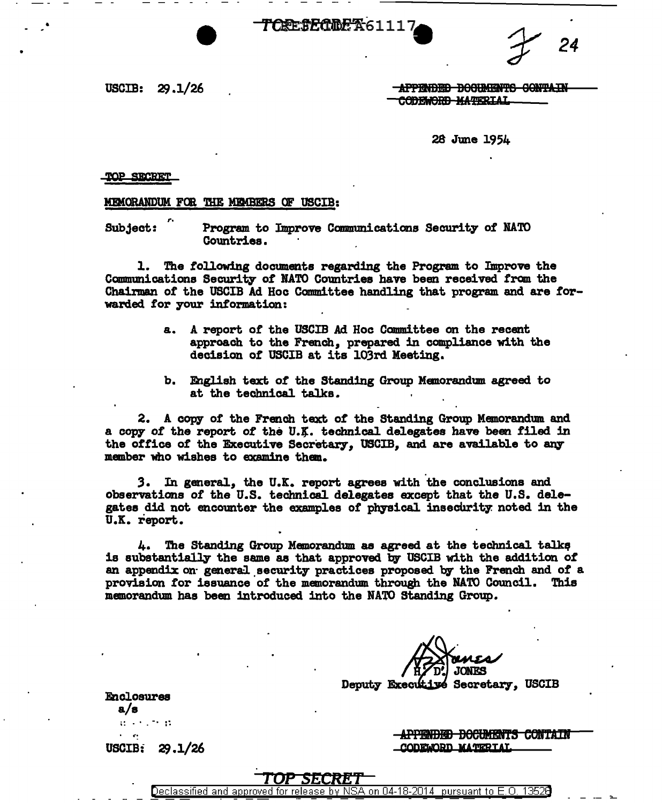$T$ CRESECREA<sup>61117</sup> $24$ 

USCIB:  $29.1/26$ 

-APPENDED DOGUMENTS CONTAIN CODEWORD MATERIAL

28 June 1954

#### TOP SECRET

#### MEMORANDUM FOR THE MEMBERS OF USCIB:

Subject: Program to Improve Communications Security of NATO Countries.

1. The following documents regarding the Program to Improve the Communications Security of NATO Countries have been received from the Chairman of the USCIB Ad Hoc Committee handling that program and are forwarded for your information:

- a. A report or the USCIB Ad Hoc Committee on the recent approach to the French, prepared in compliance with the decision of USCIB at its 103rd. Meeting.
- b. English text *ot* the Standing Group Memorandum agreed to at the technical talks.

2. A copy or the French text of the Standing Group Memorandum and a copy of the report of the U.K. technical delegates have been filed in the office of the Executive Secretary, USCIB, and are available to any member who wishes to examine than.

3. In general, the U.K. report agrees with the conclusions and observations of the U.S. technical delegates except that the U.S. delegates did not encounter the examples of physical insecurity noted in the U.K. report.

4. The Standing Group Memorandum as agreed at the technical talks<br>is substantially the same as that approved by USCIB with the addition of an appendix on general security practices proposed by the French and of a provision tor issuance of the memorandum through the NATO Council. This memorandum has been introduced into the NATO Standing Group.

**JONFS** Deputy Executive Secretary, USCIB

Enclosures a/s . . . -. .. .. . . .. USCIB:  $29.1/26$ 

<del>-APPENDED DOCUMENTS CONTAIN</del> CODEWORD MATERIAL

# TOP *SECRET*

Declassified and approved for release by NSA on 04-18-2014 pursuant to E.O.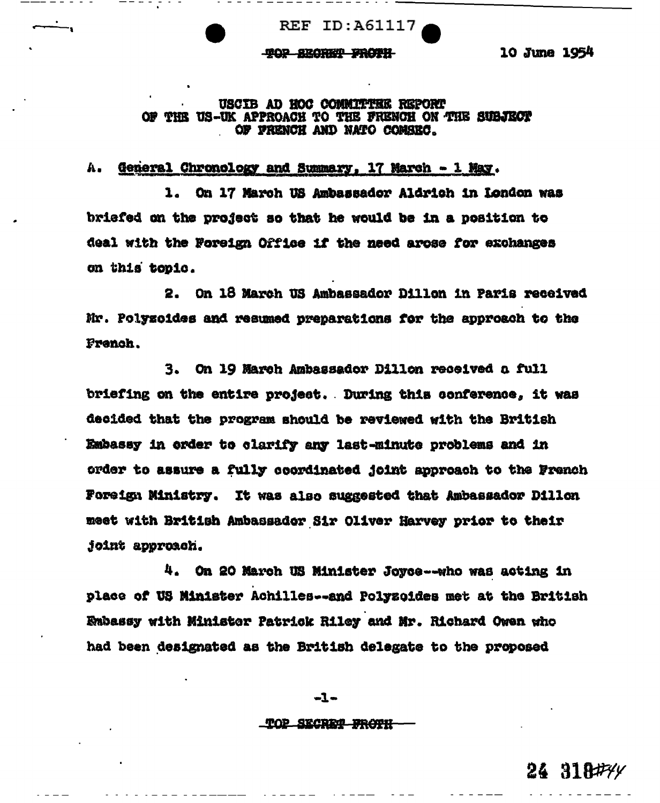**REF ID: A61117** 

# TOP SECRET FROTH

10 June 1954

# USCIB AD HOC COMMITTEE REPORT OF THE US-UK APPROACH TO THE FRENCH ON THE SUBJECT OF FRENCH AND NATO COMSEC.

#### General Chronology and Summary, 17 March - 1 May. A.

\_ \_ \_ \_ \_ \_

1. On 17 March US Ambassador Aldrich in London was briefed on the project so that he would be in a position to deal with the Foreign Office if the need arose for exchanges on this topic.

2. On 18 March US Ambassador Dillon in Paris received Mr. Polyzoides and resumed preparations for the approach to the French.

3. On 19 March Ambassador Dillon received a full briefing on the entire project. During this conference, it was decided that the program should be reviewed with the British Embassy in order to clarify any last-minute problems and in order to assure a fully coordinated joint approach to the French Foreign Ministry. It was also suggested that Ambassador Dillon meet with British Ambassador Sir Oliver Harvey prior to their joint approach.

4. On 20 March US Minister Joyce--who was acting in place of US Minister Achilles--and Polyzoides met at the British Enbassy with Minister Patrick Riley and Mr. Richard Owen who had been designated as the British delegate to the proposed

TOP SECRET FROTH

 $-1-$ 

 $24318$ # $4$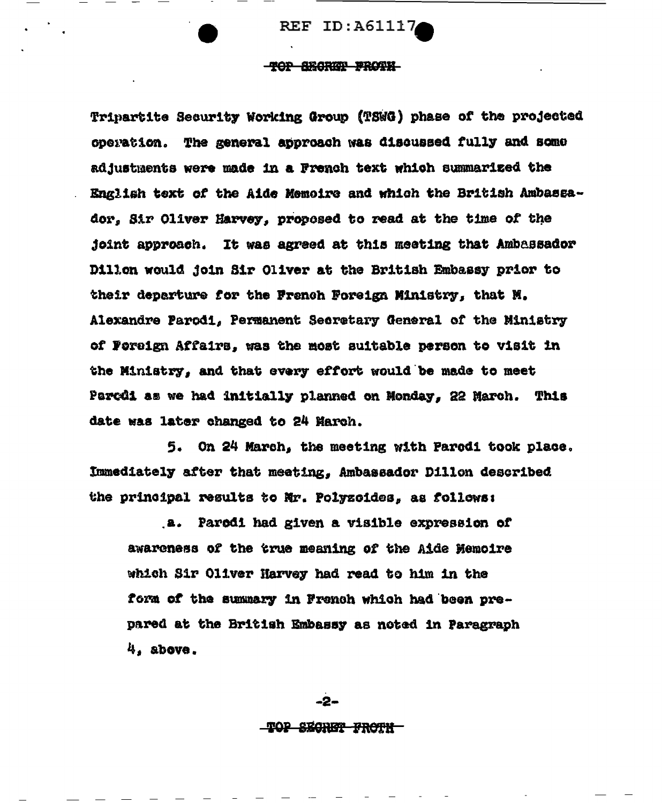**REF ID: A61117** 

# TOP SECRIP FROTH

Tripartite Security Working Group (TSWG) phase of the projected operation. The general approach was discussed fully and some adjustments were made in a French text which summarized the English text of the Aide Memoire and which the British Ambassador, Sir Oliver Harvey, proposed to read at the time of the joint approach. It was agreed at this meeting that Ambassador Dillon would join Sir Oliver at the British Embassy prior to their departure for the French Foreign Ministry, that M. Alexandre Parodi, Permanent Secretary General of the Ministry of Foreign Affairs, was the most suitable person to visit in the Ministry, and that every effort would be made to meet Parcdi as we had initially planned on Monday, 22 March. This date was later changed to 24 March.

5. On 24 March, the meeting with Parodi took place. Immediately after that meeting, Ambassador Dillon described the principal results to Mr. Polyzoides, as follows:

a. Parodi had given a visible expression of awareness of the true meaning of the Aide Memoire which Sir Oliver Harvey had read to him in the form of the summary in French which had been prepared at the British Embassy as noted in Paragraph  $4.$  above.

> -2--TOP SECRET FROTH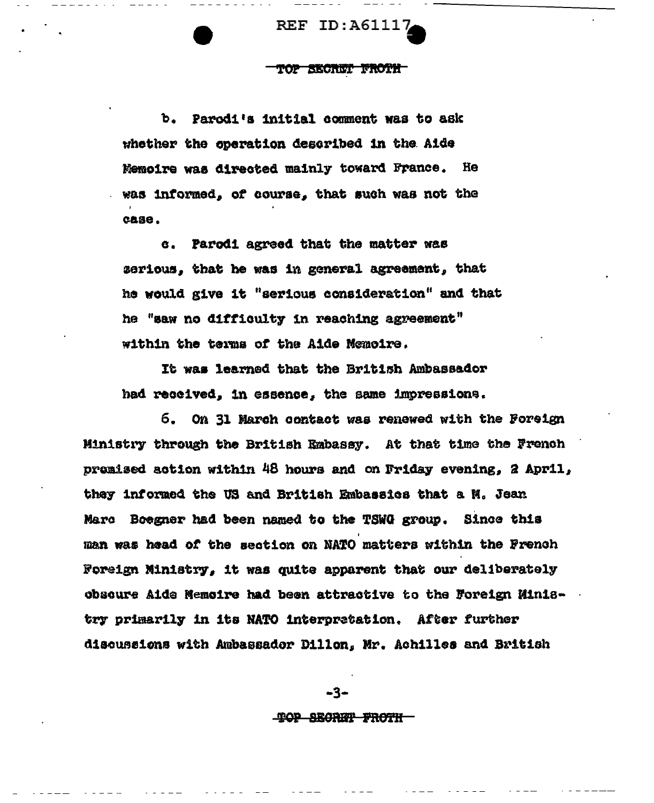**REF ID:A61117** 

 $\frac{1}{2}$ 

#### top skonnt froth

b. Parodi's initial comment was to ask whether the operation described in the Aide Memoire was directed mainly toward France. He was informed, of course, that such was not the case.

c. Parodi agreed that the matter was serious, that he was in general agreement, that he would give it "serious consideration" and that he "saw no difficulty in reaching agreement" within the terms of the Aide Memoire.

It was learned that the British Ambassador had received, in essence, the same impressions.

6. On 31 March contact was renewed with the Foreign Ministry through the British Embassy. At that time the French premised action within 48 hours and on Friday evening, 2 April, they informed the US and British Embassies that a N. Jean Marc Boegner had been named to the TSWG group. Since this man was head of the section on NATO matters within the French Foreign Ministry, it was quite apparent that our deliberately obscure Aide Memoire had been attractive to the Foreign Ministry primarily in its NATO interpretation. After further discussions with Ambassador Dillon, Mr. Achilles and British

TOP SECRIT FROTH

-3-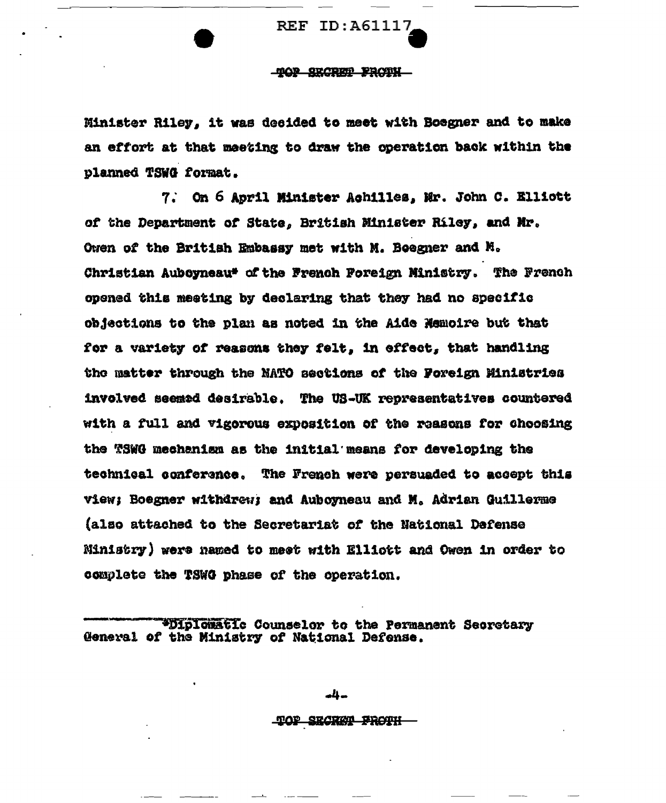**REF ID: A61117** 

# TOP SECRET FROTH

Minister Riley. it was decided to meet with Boegner and to make an effort at that meeting to draw the operation back within the planned TSWG format.

7. On 6 April Minister Achilles, Mr. John C. Elliott of the Department of State, British Minister Riley, and Mr. Owen of the British Embassy met with M. Boegner and M. Christian Auboyneau\* of the French Poreign Ministry. The French opened this meeting by declaring that they had no specific objections to the plan as noted in the Aide Nemoire but that for a variety of reasons they felt, in effect, that handling the matter through the NATO sections of the Foreign Ministries involved seemed desirable. The US-UK representatives countered with a full and vigorous exposition of the reasons for choosing the TSWG mechanism as the initial means for developing the technical conference. The French were persuaded to accept this view; Boegner withdrew; and Auboyneau and M. Adrian Guillerme (also attached to the Secretariat of the National Defense Ministry) were named to meet with Elliott and Owen in order to complete the TSWG phase of the operation.

\*Diplomatic Counselor to the Permanent Secretary General of the Ministry of National Defense.

-4-

TOP SECRET FROTH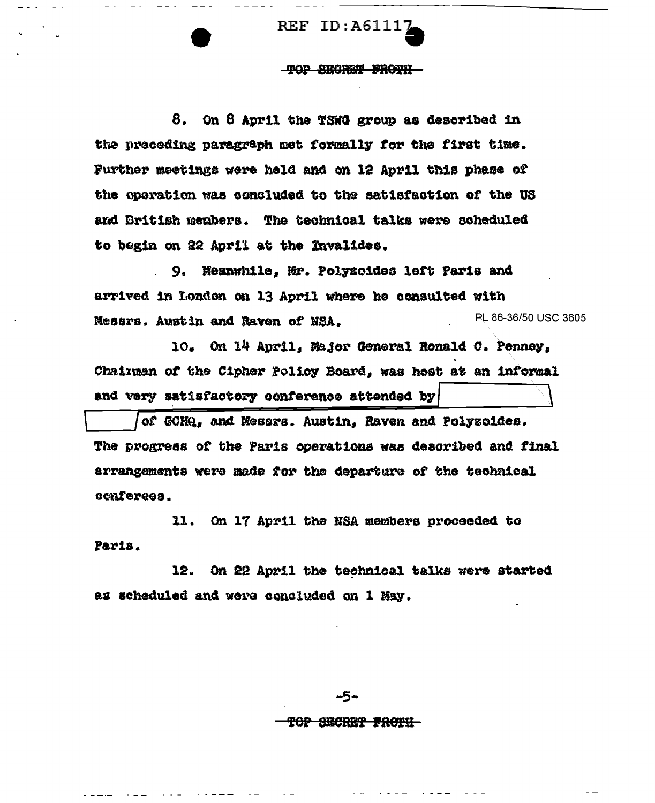REF ID:A6111

## '1'9P SB9Ril! PRGlll

8. On 8 April the TSWG group as described 1n the preceding paragraph met formally for the first time. Further meetings were held and on 12 April this phase of the operation was concluded to the satisfaction of the US and British members. The technical talks were scheduled to begin on 22 April at the Invalides.

9. Heanwhile, Mr. Polyzoides left Paris and arrived in London on 13 April where he consulted with Messrs. Austin and Raven of NSA.  $P L 86-36/50 \text{ USC} 3605$ 

io. On 14 April, Ma.Jor General Ronald *o.* Pennev, Ohainaan *ot* the Cipher Pol103' Board, was host at an informal and very satisfactory conference attended by

of GCHQ, and Messrs. Austin, Raven and Polyzoides. The progress *ot* the Paris operations was desoribed and final arrangements were made for the departure of the technical ocintereea.

11. On 17 April the HSA members proceeded to Paris.

12. On 22 April the technical talks were started as scheduled and were concluded on 1 May.

-5-

# T<del>op Sechet Frotil</del>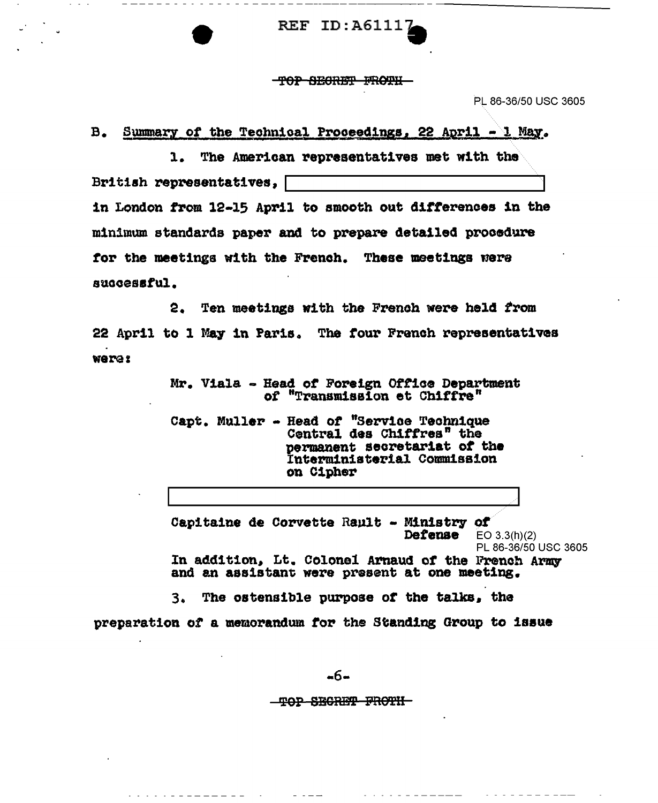REF ID:A6111

TOP SECRET FROTH

PL 86-36/50 USC 3605

 $B_{\bullet}$ Summary of the Technical Proceedings, 22 April  $-1$  May.

The American representatives met with the  $1.$ British representatives. in London from 12-15 April to smooth out differences in the minimum standards paper and to prepare detailed procedure for the meetings with the French. These meetings were successful.

Ten meetings with the French were held from  $2.$ 22 April to 1 May in Paris. The four French representatives weres

> Mr. Viala - Head of Foreign Office Department of "Transmission et Chiffre"

Capt. Muller - Head of "Service Technique Central des Chiffres" the permanent secretariat of the Interministerial Commission on Cipher

Capitaine de Corvette Rault - Ministry of Defense  $EO$  3.3(h)(2) PL 86-36/50 USC 3605 In addition, Lt. Colonel Arnaud of the French Army and an assistant were present at one meeting.

3. The ostensible purpose of the talks, the preparation of a memorandum for the Standing Group to issue

-6-

<del>-TOP SECRET FROTH-</del>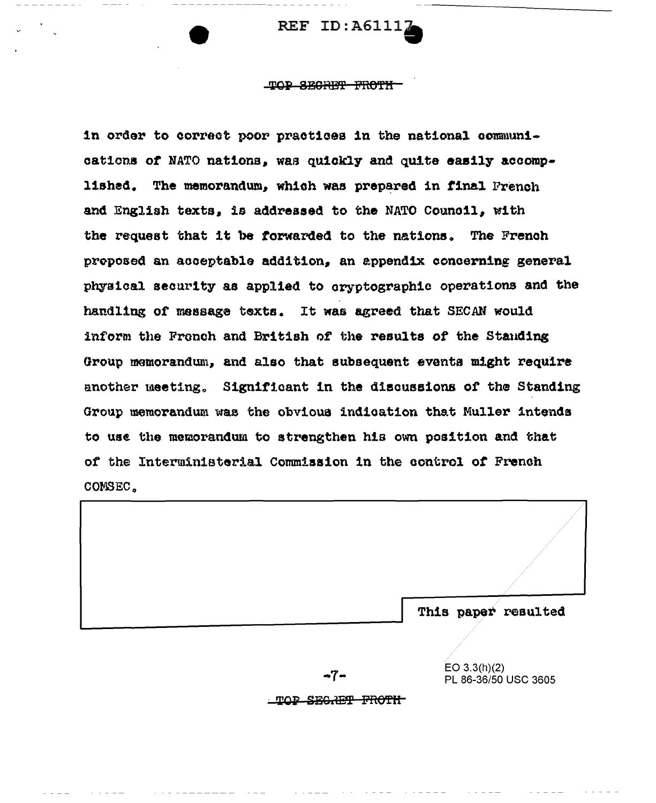REF ID:  $A61117$ 

#### TOP SECRET FROTH

in order to correct poor practices in the national communications of NATO nations, was quickly and quite easily accomplished. The memorandum, which was prepared in final French and English texts, is addressed to the NATO Council, with the request that it be forwarded to the nations. The French proposed an acceptable addition, an appendix concerning general physical security as applied to cryptographic operations and the handling of message texts. It was agreed that SECAN would inform the French and British of the results of the Standing Group memorandum, and also that subsequent events might require another meeting. Significant in the discussions of the Standing Group memorandum was the obvious indication that Muller intends to use the memorandum to strengthen his own position and that of the Interministerial Commission in the control of French COMSEC.



 $EO 3.3(h)(2)$ PL 86-36/50 USC 3605

TOP SECRET FROTH

-7-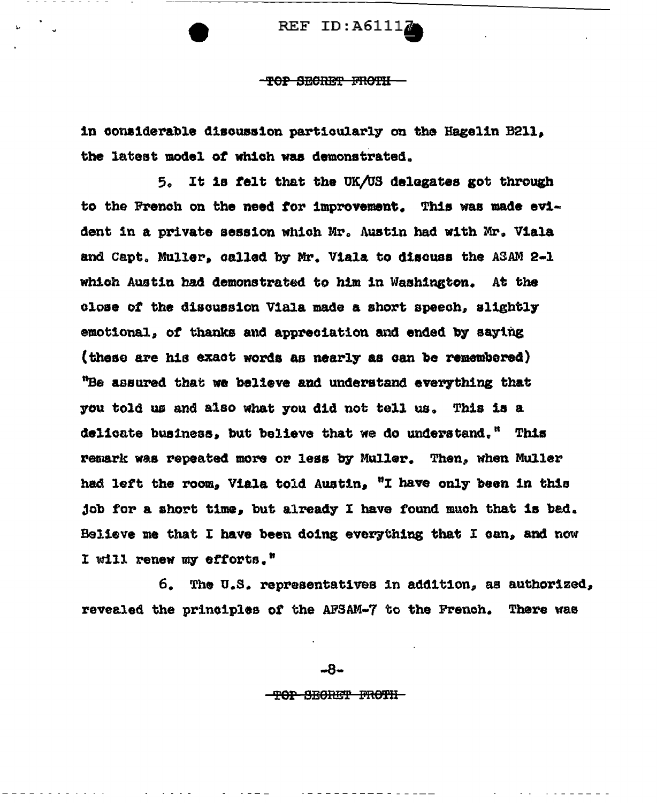REF ID:  $A6111$ <sup>2</sup>

**-TOP SECRET FROTH-**

in considerable discussion particularly on the Hagelin B211. the latest model of which was demonstrated.

5. It is felt that the UK/US delegates got through to the French on the need for improvement. This was made evident in a private session which Mr. Austin had with Mr. Viala and Capt. Muller, called by Mr. Viala to discuss the ASAM 2-1 which Austin had demonstrated to him in Washington. At the close of the discussion Viala made a short speech, slightly emotional, of thanks and appreciation and ended by saying (these are his exact words as nearly as can be remembered) "Be assured that we believe and understand everything that you told us and also what you did not tell us. This is a delicate business, but believe that we do understand." This remark was repeated more or less by Muller. Then, when Muller had left the room, Viala told Austin, "I have only been in this job for a short time, but already I have found much that is bad. Believe me that I have been doing everything that I can, and now I will renew my efforts."

The U.S. representatives in addition, as authorized, 6. revealed the principles of the AFSAM-7 to the French. There was

-8-

-TOP SECRET FROTH-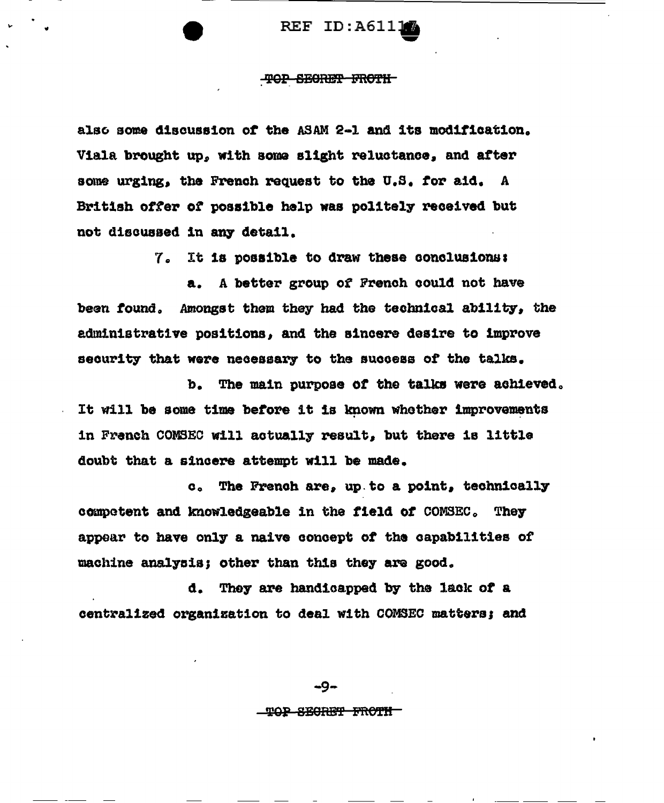**REF ID:A6111** 

# TOP SECRET FROTH

also some discussion of the ASAM 2-1 and its modification. Viala brought up, with some slight reluctance, and after some urging, the French request to the U.S. for aid. A British offer of possible help was politely received but not discussed in any detail.

7. It is possible to draw these conclusions:

a. A better group of French could not have been found. Amongst them they had the technical ability, the administrative positions, and the sincere desire to improve security that were necessary to the success of the talks.

b. The main purpose of the talks were achieved. It will be some time before it is known whether improvements in French COMSEC will actually result, but there is little doubt that a sincere attempt will be made.

c. The French are, up to a point, technically competent and knowledgeable in the field of COMSEC. They appear to have only a naive concept of the capabilities of machine analysis; other than this they are good.

d. They are handicapped by the lack of a centralized organization to deal with COMSEC matters; and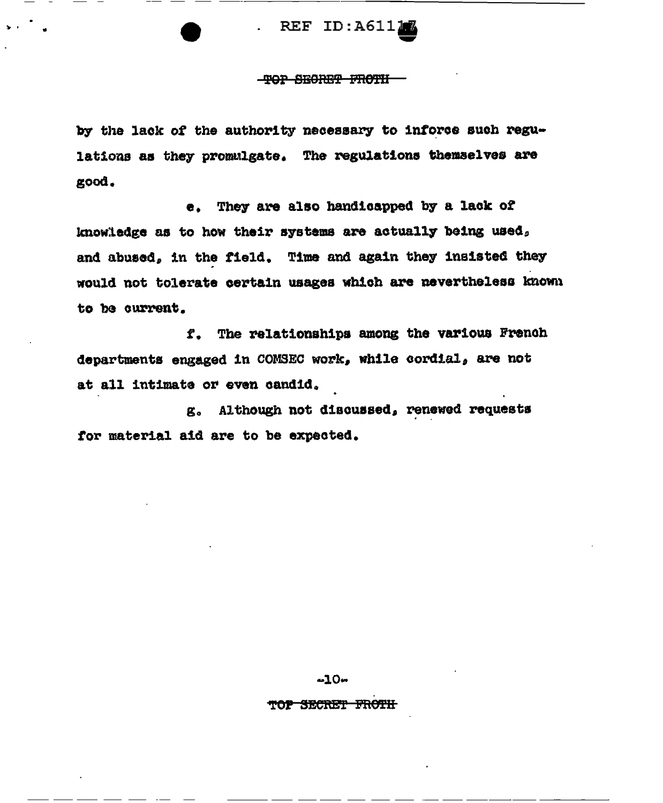REF ID:A61117

# -TOP SECRET FROTH

by the lack of the authority necessary to inforce such regulations as they promulgate. The regulations themselves are good.

e. They are also handicapped by a lack of knowledge as to how their systems are actually being used, and abused, in the field. Time and again they insisted they would not tolerate certain usages which are nevertheless known to be current.

f. The relationships among the various French departments engaged in COMSEC work, while cordial, are not at all intimate or even candid.

g. Although not discussed, renewed requests for material aid are to be expected.

 $-10 -$ 

# TOP SECRET FROTH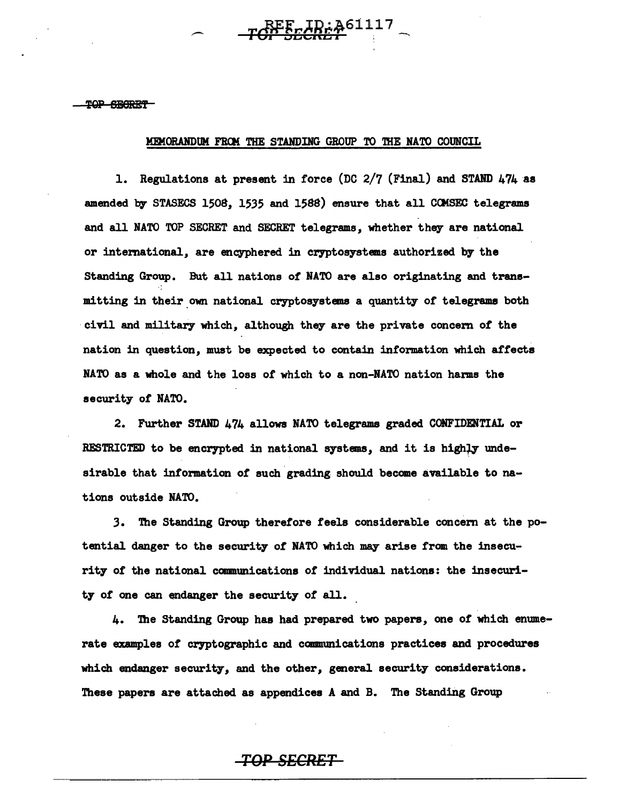# MEMORANDUM FROM THE STANDING GROUP TO THE NATO COUNCIL

REE\_**ID: 461117** 

1. Regulations at present in force (DC 2/7 (Final) and STAND 474 as amended by STASECS 1508, 1535 and 1588) ensure that all COMSEC telegrams and all NATO TOP SECRET and SECRET telegrams, whether they are national or international, are encyphered in cryptosystems authorized by the Standing Group. But all nations *ot* NATO are also originating and transmitting in their.own national cryptosystems a quantity *ot* telegrams both civil and military which, although they are the private concem of the nation in question, must be expected to contain information which affects NATO as a whole and the loss of which to a non-NATO nation harms the security of NATO.

2. Further STAND 474 allows NATO telegrams graded CONFIDENTIAL or RESTRICTED to be encrypted in national systems, and it is highly undesirable that information of such grading should become available to nations outside NATO.

3. The Standing Group therefore feels considerable concern at the potential danger to the security of NATO which may arise from the insecurity of the national communications of individual nations: the insecurity of one can endanger the security of all.

4. The Standing Group has had prepared two papers, one of which enumerate examples of cryptographic and communications practices and procedures which endanger security, and the other, general security considerations. These papers are attached as appendices A and B. The Standing Group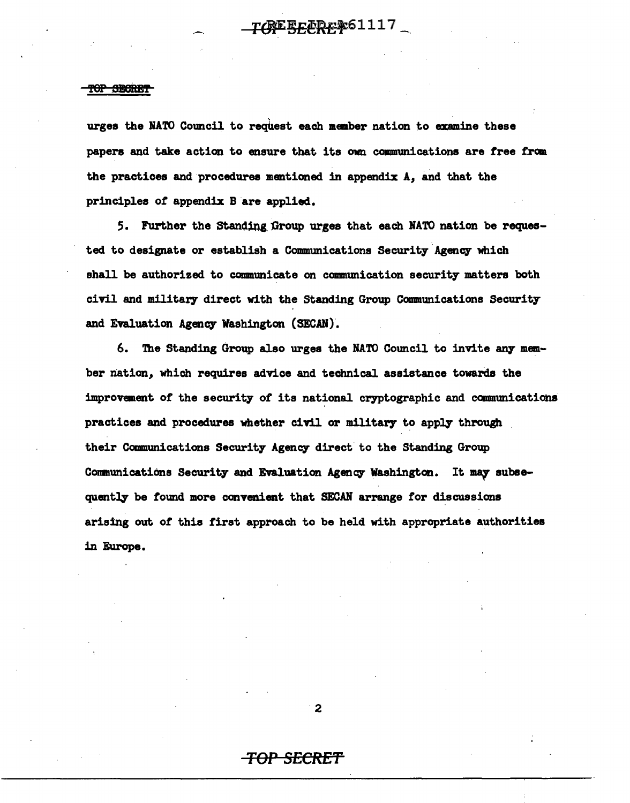urges the NATO Council to request each member nation to examine these papers and take action to ensure that its own communications are free from the practices and procedures mentioned in appendix *A,* and that the principles or appendix B are applied.

5. Further the Standing Group urges that each NATO nation be requested to designate or establish a Communications Security Agency which shall be authorized to communicate on communication security matters both civil and military direct with the Standing Group Communications Security and Evaluation Agency Washington (SECAN).

6. The Standing Group also urges the NATO Council to invite any member nation, which requires advice and technical assistance towards the improvement of the security of its national cryptographic and communications practices and procedures whether civil or military to apply through their Camnunications Security Agency direct to the Standing Group Communications Security and Evaluation Agency Washington. It may subsequently be found more convenient that SECAN arrange for discussions arising out *ot* this tirst approach to be held with appropriate authorities in Europe.

2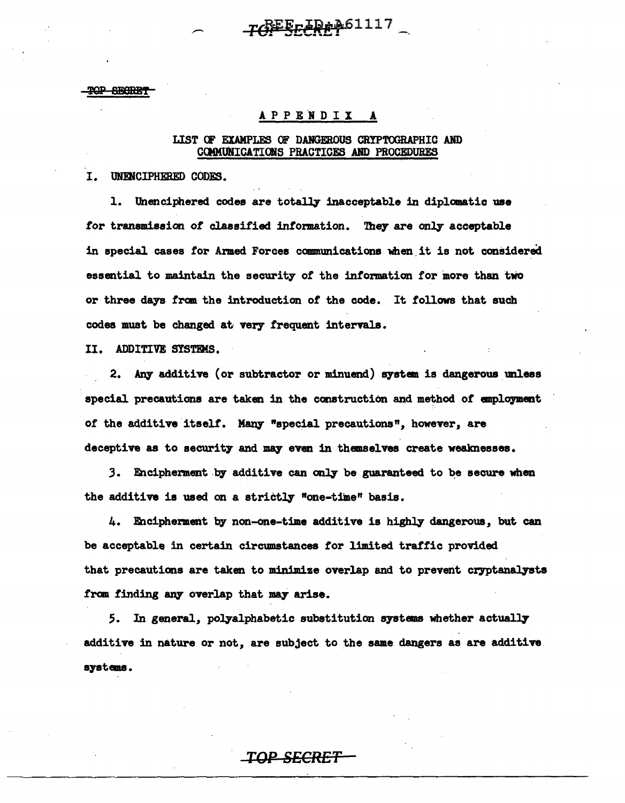# TGEEFIREA61117

TOP SECIDE

# APPENDIX A

# LIST OF EXAMPLES OF DANGEROUS CRYPTOGRAPHIC AND COMMUNICATIONS PRACTICES AND PROCEDURES

I. UNENCIPHERED CODES.

1. Unenciphered codes are totally inacceptable in diplomatic use for transmission of classified information. They are only acceptable in special cases for Armed Forces communications when it is not considered essential to maintain the security of the information for more than two or three days from the introduction of the code. It follows that such codes must be changed at very frequent intervals.

II. ADDITIVE SYSTEMS.

2. Any additive (or subtractor or minuend) system is dangerous unless special precautions are taken in the construction and method of employment of the additive itself. Many "special precautions", however, are deceptive as to security and may even in themselves create weaknesses.

3. Encipherment by additive can only be guaranteed to be secure when the additive is used on a strictly "one-time" basis.

4. Encipherment by non-one-time additive is highly dangerous, but can be acceptable in certain circumstances for limited traffic provided that precautions are taken to minimize overlap and to prevent cryptanalysts from finding any overlap that may arise.

5. In general, polyalphabetic substitution systems whether actually additive in nature or not, are subject to the same dangers as are additive systems.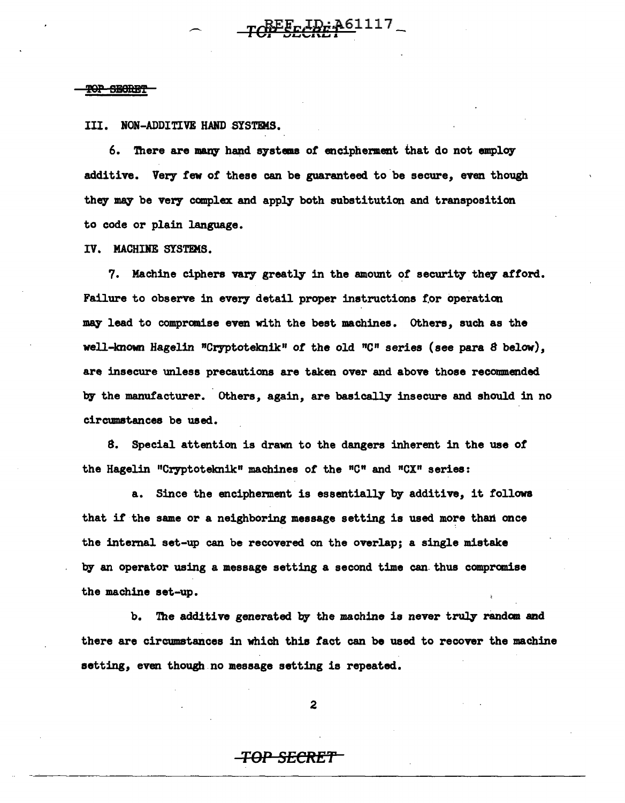III. NON-ADDITIVE HAND SYSTEMS.

 $\overline{\phantom{0}}$ 

6. There are many hand systems of encipherment that do not employ additive. Very few of these can be guaranteed to be secure, even though they may be very complex and apply both substitution and transposition to code or plain language.

TCHEECCREP-1117

IV. MACHINE SYSTEMS.

7. Machine ciphers vary greatly in the amount of security they afford. Failure to observe in every detail proper instructions for operation may lead to compromise even with the best machines. Others, such as the well-known Hagelin "Cryptoteknik" of the old "C" series (see para 8 below), are insecure unless precautions are taken over and above those recommended by the manufacturer. Others, again, are basically insecure and should in no circumstances be used.

8. Special attention is drawn to the dangers inherent in the use *ot*  the Hagelin "Cryptoteknik" machines of the "C" and "CX" series:

a. Since the encipherment is essentially by additive, it follows that it the same or a neighboring message setting is used more than once the internal set-up can be recovered on the overlap; a single mistake by an operator using a message setting a second time can.thus compranise the machine set-up.

b. The additive generated by the machine is never truly randan and there are circumstances in which this tact can be used to recover the machine setting, even though no message setting is repeated.

2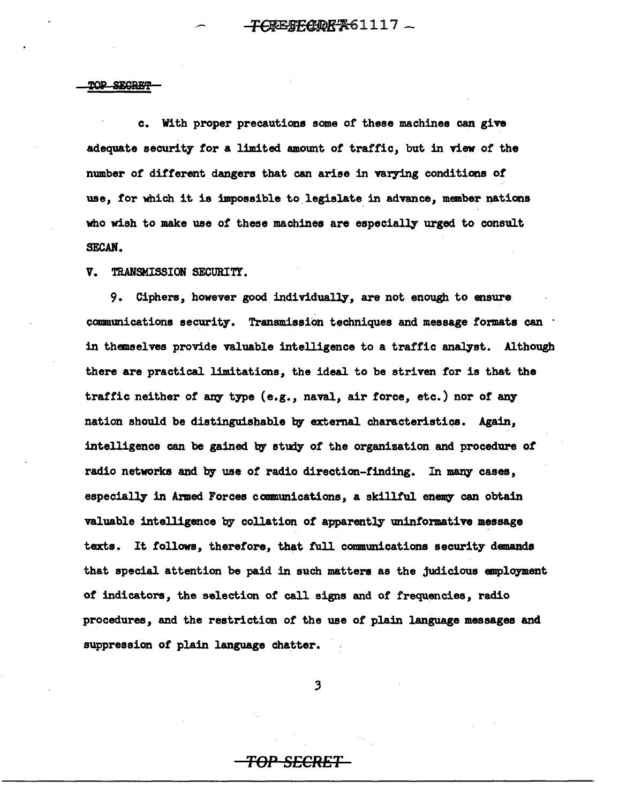c. With proper precautions some *ot* these machines can give adequate security tor a limited amount *ot* traffic, but in view or the number of different dangers that can arise in varying conditions *ot*  use, tor which it is impossible to legislate in advance, member nations who wish to make use *ot* these machines are especially urged to consult SECAN.

V. TRANSMISSION SECURITY.

9. Ciphers, however good individually, are not enough to ensure communications security. Transmission techniques and message formats can · in themselves provide valuable intelligence to a traffic analyst. Although there are practical limitations, the ideal to be striven tor is that the traffic neither of any type (e.g., naval, air force, etc.) nor of any nation should be distinguishable by external characteristics. Again, intelligence can be gained by study of the organization and procedure of radio networks and by use of radio direction-finding. In many cases, especially in Armed Forces communications, a skillful enemy can obtain valuable intelligence by collation *ot* apparently uninformative message texts. It follows, therefore, that full communications security demands that special attention be paid in such matters as the judicious employment of indicators, the selection of call signs and of frequencies, radio procedures, and the restriction of the use *ot* plain language messages and suppression of plain language chatter.

.3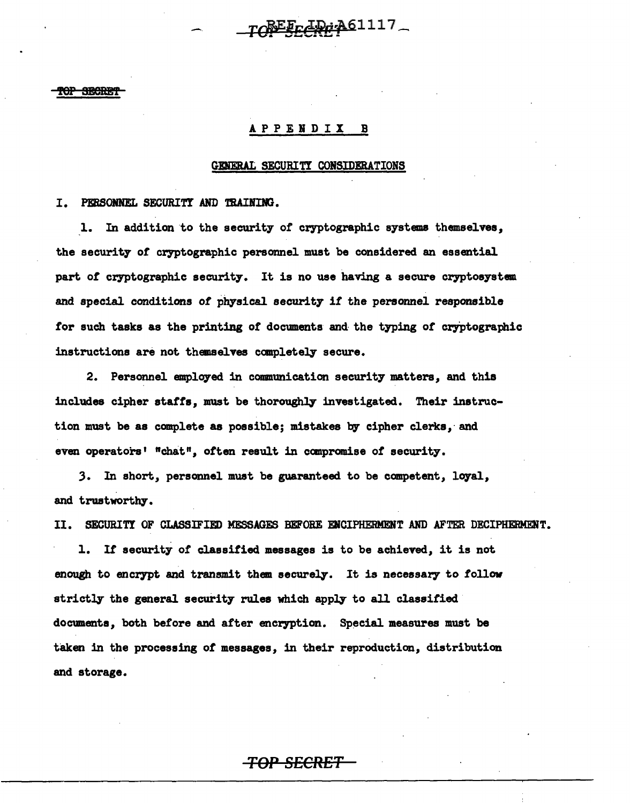CREFECREAG1117

#### **FOP SECRET**

# A. P P E N D I X B

#### GENERAL SECURITI CONSIDERATIONS

I. PERSONNEL SECURITY AND TRAINING.

l. In addition to the security of cryptographic systems themselves, the security of cryptographic personnel must be considered. an essential part of cryptographic security. It is no use having a secure cryptosystem. and special conditions of physical security if the personnel responsible for such tasks as the printing of documents and the typing of cryptographic instructions are not themselves completely secure.

2. Personnel employed in conmunication security matters, and this includes cipher staffs, must be thoroughly investigated. Their instruction must be as complete as possible; mistakes by cipher clerks, and even operators' "chat", often result in compromise of security.

.3. In short, personnel must be guaranteed to be competent, loyal, and trustworthy.

II. SECURITI OF CLASSIFIED MESSAGES BEFORE ENCIPHERMENT AND AFTER DECIPHERMENT.

1. Ir security of classified messages is to be achieved, it is not enough to encrypt and transmit them securely. It is necessary to follow strictly the general security rules which apply to all classified documents, both before and after encryption. Special measures must be taken in the processing of messages, in their reproduction, distribution and storage.